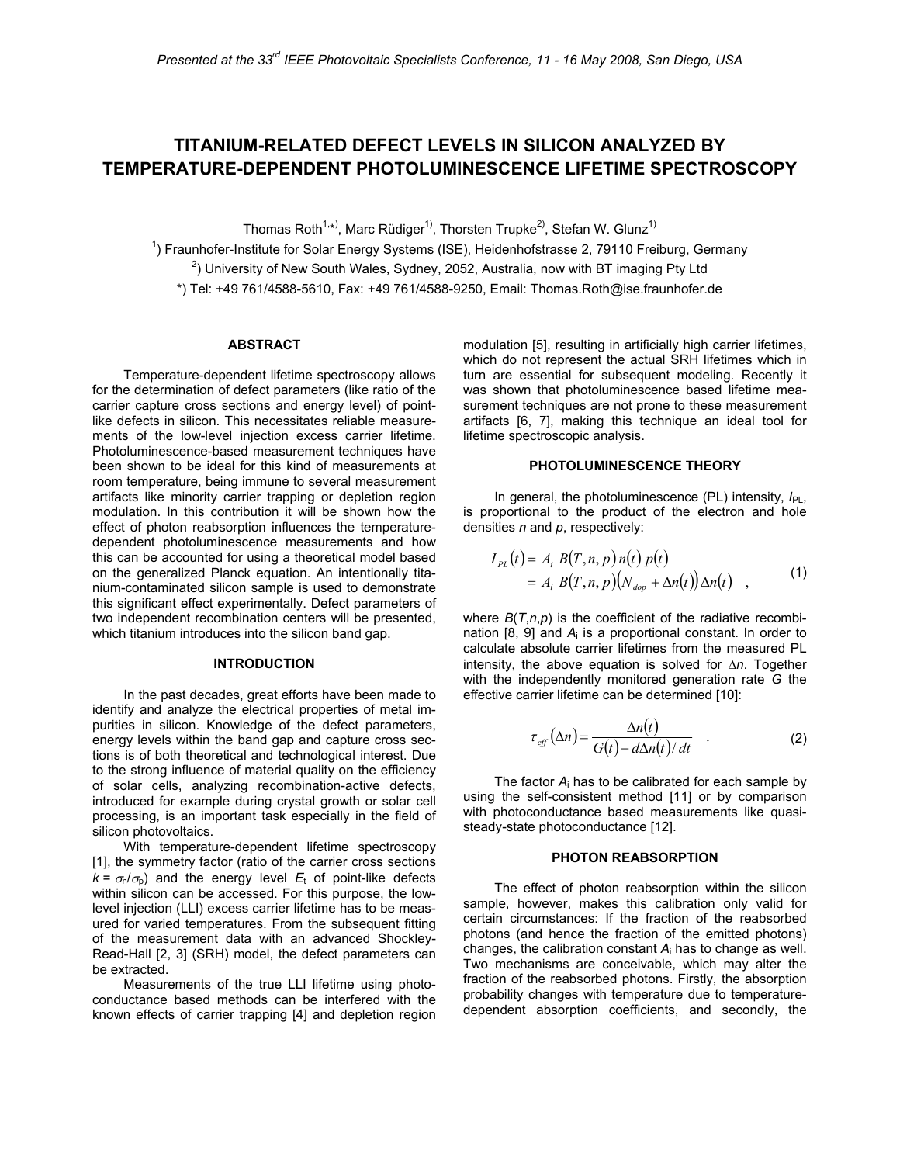# **TITANIUM-RELATED DEFECT LEVELS IN SILICON ANALYZED BY TEMPERATURE-DEPENDENT PHOTOLUMINESCENCE LIFETIME SPECTROSCOPY**

Thomas Roth<sup>1,</sup>\*<sup>)</sup>, Marc Rüdiger<sup>1)</sup>, Thorsten Trupke<sup>2)</sup>, Stefan W. Glunz<sup>1)</sup>

<sup>1</sup>) Fraunhofer-Institute for Solar Energy Systems (ISE), Heidenhofstrasse 2, 79110 Freiburg, Germany

 $^{2}$ ) University of New South Wales, Sydney, 2052, Australia, now with BT imaging Pty Ltd

\*) Tel: +49 761/4588-5610, Fax: +49 761/4588-9250, Email: Thomas.Roth@ise.fraunhofer.de

#### **ABSTRACT**

Temperature-dependent lifetime spectroscopy allows for the determination of defect parameters (like ratio of the carrier capture cross sections and energy level) of pointlike defects in silicon. This necessitates reliable measurements of the low-level injection excess carrier lifetime. Photoluminescence-based measurement techniques have been shown to be ideal for this kind of measurements at room temperature, being immune to several measurement artifacts like minority carrier trapping or depletion region modulation. In this contribution it will be shown how the effect of photon reabsorption influences the temperaturedependent photoluminescence measurements and how this can be accounted for using a theoretical model based on the generalized Planck equation. An intentionally titanium-contaminated silicon sample is used to demonstrate this significant effect experimentally. Defect parameters of two independent recombination centers will be presented, which titanium introduces into the silicon band gap.

## **INTRODUCTION**

In the past decades, great efforts have been made to identify and analyze the electrical properties of metal impurities in silicon. Knowledge of the defect parameters, energy levels within the band gap and capture cross sections is of both theoretical and technological interest. Due to the strong influence of material quality on the efficiency of solar cells, analyzing recombination-active defects, introduced for example during crystal growth or solar cell processing, is an important task especially in the field of silicon photovoltaics.

With temperature-dependent lifetime spectroscopy [1], the symmetry factor (ratio of the carrier cross sections  $k = \sigma_{n}/\sigma_{p}$ ) and the energy level  $E_{t}$  of point-like defects within silicon can be accessed. For this purpose, the lowlevel injection (LLI) excess carrier lifetime has to be measured for varied temperatures. From the subsequent fitting of the measurement data with an advanced Shockley-Read-Hall [2, 3] (SRH) model, the defect parameters can be extracted.

Measurements of the true LLI lifetime using photoconductance based methods can be interfered with the known effects of carrier trapping [4] and depletion region modulation [5], resulting in artificially high carrier lifetimes, which do not represent the actual SRH lifetimes which in turn are essential for subsequent modeling. Recently it was shown that photoluminescence based lifetime measurement techniques are not prone to these measurement artifacts [6, 7], making this technique an ideal tool for lifetime spectroscopic analysis.

## **PHOTOLUMINESCENCE THEORY**

In general, the photoluminescence (PL) intensity,  $I_{PL}$ , is proportional to the product of the electron and hole densities *n* and *p*, respectively:

$$
I_{PL}(t) = A_i B(T, n, p) n(t) p(t)
$$
  
=  $A_i B(T, n, p) (N_{\text{dop}} + \Delta n(t)) \Delta n(t)$  (1)

where *B*(*T*,*n*,*p*) is the coefficient of the radiative recombination [8, 9] and *A*i is a proportional constant. In order to calculate absolute carrier lifetimes from the measured PL intensity, the above equation is solved for Δ*n*. Together with the independently monitored generation rate *G* the effective carrier lifetime can be determined [10]:

$$
\tau_{\text{eff}}\left(\Delta n\right) = \frac{\Delta n(t)}{G(t) - d\Delta n(t)/dt} \quad . \tag{2}
$$

The factor *A*i has to be calibrated for each sample by using the self-consistent method [11] or by comparison with photoconductance based measurements like quasisteady-state photoconductance [12].

#### **PHOTON REABSORPTION**

The effect of photon reabsorption within the silicon sample, however, makes this calibration only valid for certain circumstances: If the fraction of the reabsorbed photons (and hence the fraction of the emitted photons) changes, the calibration constant *A*i has to change as well. Two mechanisms are conceivable, which may alter the fraction of the reabsorbed photons. Firstly, the absorption probability changes with temperature due to temperaturedependent absorption coefficients, and secondly, the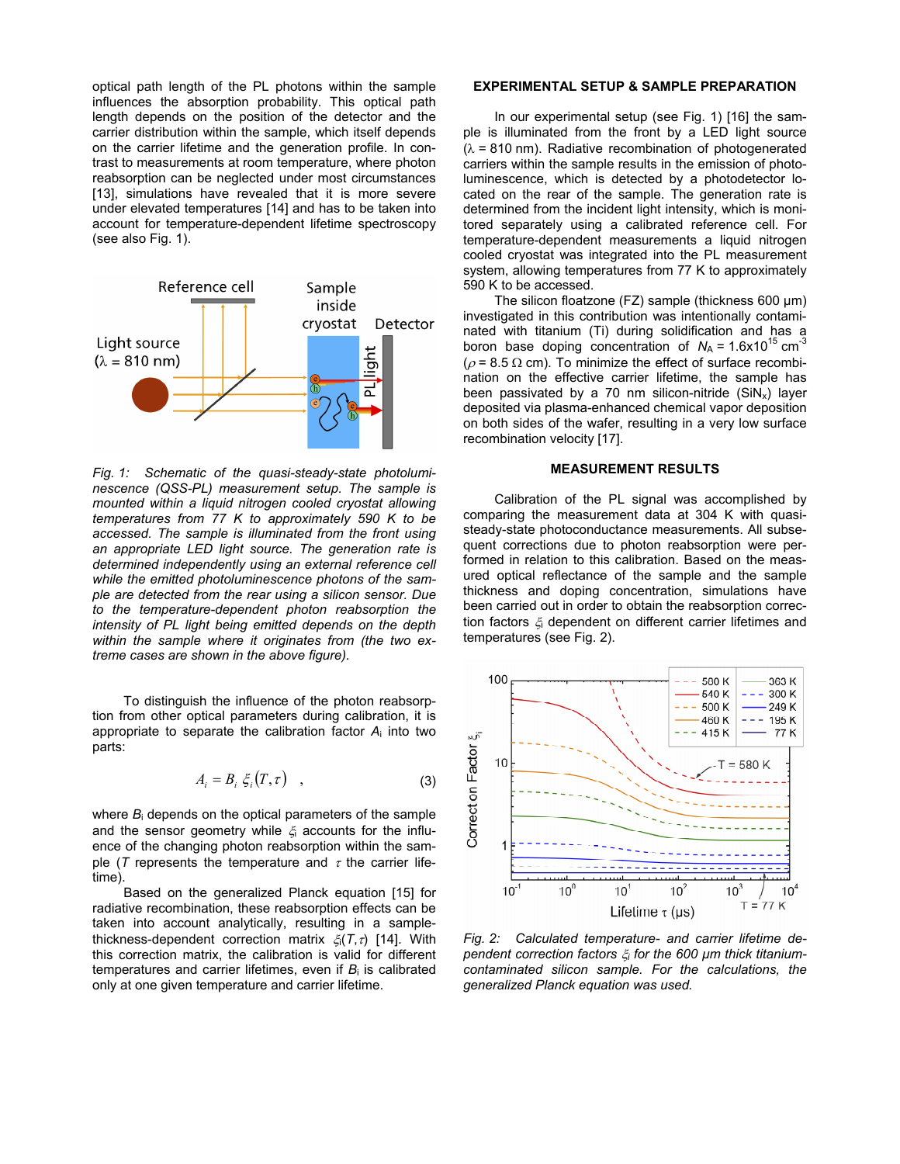optical path length of the PL photons within the sample influences the absorption probability. This optical path length depends on the position of the detector and the carrier distribution within the sample, which itself depends on the carrier lifetime and the generation profile. In contrast to measurements at room temperature, where photon reabsorption can be neglected under most circumstances [13], simulations have revealed that it is more severe under elevated temperatures [14] and has to be taken into account for temperature-dependent lifetime spectroscopy (see also Fig. 1).



*Fig. 1: Schematic of the quasi-steady-state photoluminescence (QSS-PL) measurement setup. The sample is mounted within a liquid nitrogen cooled cryostat allowing temperatures from 77 K to approximately 590 K to be accessed. The sample is illuminated from the front using an appropriate LED light source. The generation rate is determined independently using an external reference cell while the emitted photoluminescence photons of the sample are detected from the rear using a silicon sensor. Due to the temperature-dependent photon reabsorption the intensity of PL light being emitted depends on the depth within the sample where it originates from (the two extreme cases are shown in the above figure).* 

To distinguish the influence of the photon reabsorption from other optical parameters during calibration, it is appropriate to separate the calibration factor *A*i into two parts:

$$
A_i = B_i \xi_i(T, \tau) \quad , \tag{3}
$$

where *B*i depends on the optical parameters of the sample and the sensor geometry while  $\xi$  accounts for the influence of the changing photon reabsorption within the sample ( $T$  represents the temperature and  $\tau$  the carrier lifetime).

Based on the generalized Planck equation [15] for radiative recombination, these reabsorption effects can be taken into account analytically, resulting in a samplethickness-dependent correction matrix ξi(*T*,τ) [14]. With this correction matrix, the calibration is valid for different temperatures and carrier lifetimes, even if  $B_i$  is calibrated only at one given temperature and carrier lifetime.

## **EXPERIMENTAL SETUP & SAMPLE PREPARATION**

In our experimental setup (see Fig. 1) [16] the sample is illuminated from the front by a LED light source  $(\lambda = 810 \text{ nm})$ . Radiative recombination of photogenerated carriers within the sample results in the emission of photoluminescence, which is detected by a photodetector located on the rear of the sample. The generation rate is determined from the incident light intensity, which is monitored separately using a calibrated reference cell. For temperature-dependent measurements a liquid nitrogen cooled cryostat was integrated into the PL measurement system, allowing temperatures from 77 K to approximately 590 K to be accessed.

The silicon floatzone (FZ) sample (thickness 600 µm) investigated in this contribution was intentionally contaminated with titanium (Ti) during solidification and has a boron base doping concentration of  $N_A = 1.6x10^{15}$  cm<sup>-3</sup> ( $\rho$  = 8.5  $\Omega$  cm). To minimize the effect of surface recombination on the effective carrier lifetime, the sample has been passivated by a 70 nm silicon-nitride  $(SiN<sub>x</sub>)$  layer deposited via plasma-enhanced chemical vapor deposition on both sides of the wafer, resulting in a very low surface recombination velocity [17].

## **MEASUREMENT RESULTS**

Calibration of the PL signal was accomplished by comparing the measurement data at 304 K with quasisteady-state photoconductance measurements. All subsequent corrections due to photon reabsorption were performed in relation to this calibration. Based on the measured optical reflectance of the sample and the sample thickness and doping concentration, simulations have been carried out in order to obtain the reabsorption correction factors ξi dependent on different carrier lifetimes and temperatures (see Fig. 2).



*Fig. 2: Calculated temperature- and carrier lifetime dependent correction factors* ξ*i for the 600 µm thick titaniumcontaminated silicon sample. For the calculations, the generalized Planck equation was used.*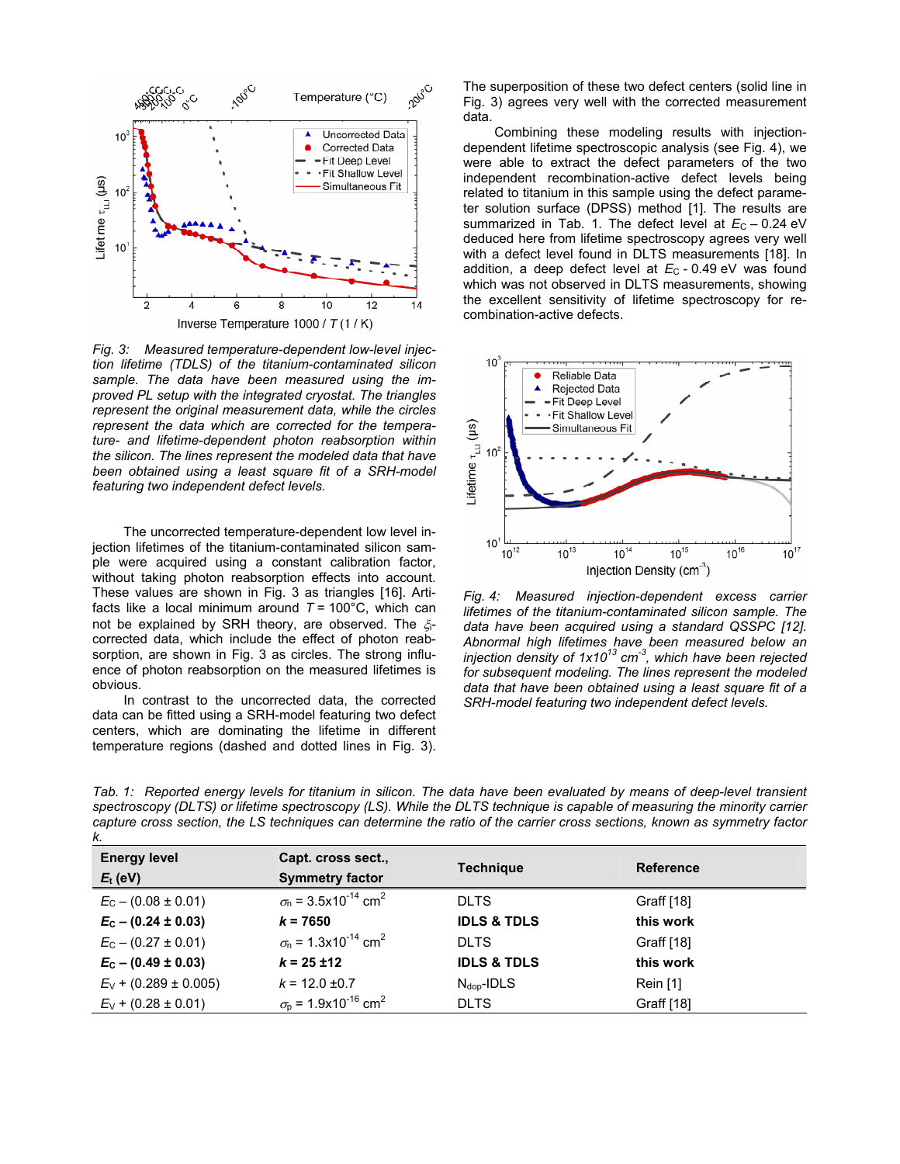

*Fig. 3: Measured temperature-dependent low-level injection lifetime (TDLS) of the titanium-contaminated silicon sample. The data have been measured using the improved PL setup with the integrated cryostat. The triangles represent the original measurement data, while the circles represent the data which are corrected for the temperature- and lifetime-dependent photon reabsorption within the silicon. The lines represent the modeled data that have been obtained using a least square fit of a SRH-model featuring two independent defect levels.* 

The uncorrected temperature-dependent low level injection lifetimes of the titanium-contaminated silicon sample were acquired using a constant calibration factor, without taking photon reabsorption effects into account. These values are shown in Fig. 3 as triangles [16]. Artifacts like a local minimum around  $T = 100^{\circ}$ C, which can not be explained by SRH theory, are observed. The ξcorrected data, which include the effect of photon reabsorption, are shown in Fig. 3 as circles. The strong influence of photon reabsorption on the measured lifetimes is obvious.

In contrast to the uncorrected data, the corrected data can be fitted using a SRH-model featuring two defect centers, which are dominating the lifetime in different temperature regions (dashed and dotted lines in Fig. 3).

The superposition of these two defect centers (solid line in Fig. 3) agrees very well with the corrected measurement data.

Combining these modeling results with injectiondependent lifetime spectroscopic analysis (see Fig. 4), we were able to extract the defect parameters of the two independent recombination-active defect levels being related to titanium in this sample using the defect parameter solution surface (DPSS) method [1]. The results are summarized in Tab. 1. The defect level at  $E_C - 0.24$  eV deduced here from lifetime spectroscopy agrees very well with a defect level found in DLTS measurements [18]. In addition, a deep defect level at  $E_C$  - 0.49 eV was found which was not observed in DLTS measurements, showing the excellent sensitivity of lifetime spectroscopy for recombination-active defects.



*Fig. 4: Measured injection-dependent excess carrier lifetimes of the titanium-contaminated silicon sample. The data have been acquired using a standard QSSPC [12]. Abnormal high lifetimes have been measured below an injection density of 1x1013 cm-3, which have been rejected for subsequent modeling. The lines represent the modeled data that have been obtained using a least square fit of a SRH-model featuring two independent defect levels.* 

*Tab. 1: Reported energy levels for titanium in silicon. The data have been evaluated by means of deep-level transient spectroscopy (DLTS) or lifetime spectroscopy (LS). While the DLTS technique is capable of measuring the minority carrier capture cross section, the LS techniques can determine the ratio of the carrier cross sections, known as symmetry factor k.* 

| <b>Energy level</b><br>$E_t$ (eV) | Capt. cross sect.,<br><b>Symmetry factor</b>             | <b>Technique</b>       | <b>Reference</b> |
|-----------------------------------|----------------------------------------------------------|------------------------|------------------|
| $E_C - (0.08 \pm 0.01)$           | $\sigma_{\rm n}$ = 3.5x10 <sup>-14</sup> cm <sup>2</sup> | <b>DLTS</b>            | Graff [18]       |
| $E_c - (0.24 \pm 0.03)$           | $k = 7650$                                               | <b>IDLS &amp; TDLS</b> | this work        |
| $E_C - (0.27 \pm 0.01)$           | $\sigma_{\rm n}$ = 1.3x10 <sup>-14</sup> cm <sup>2</sup> | <b>DLTS</b>            | Graff [18]       |
| $E_c - (0.49 \pm 0.03)$           | $k = 25 \pm 12$                                          | <b>IDLS &amp; TDLS</b> | this work        |
| $E_V$ + (0.289 ± 0.005)           | $k = 12.0 \pm 0.7$                                       | $N_{\text{dop}}$ -IDLS | Rein $[1]$       |
| $E_V$ + (0.28 ± 0.01)             | $\sigma_{\rm p}$ = 1.9x10 <sup>-16</sup> cm <sup>2</sup> | <b>DLTS</b>            | Graff [18]       |